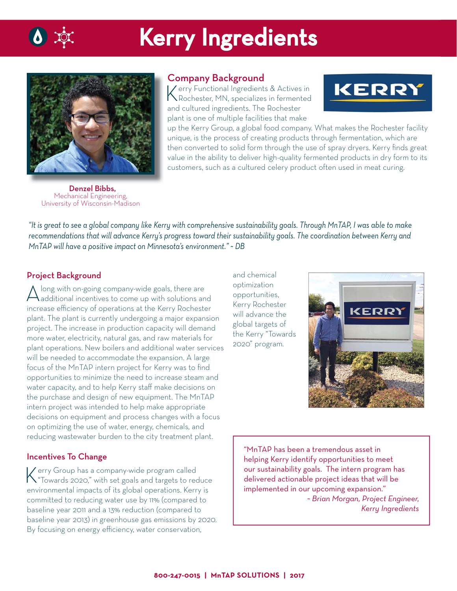

# Kerry Ingredients



## Company Background

Kerry Functional Ingredients & Actives in Rochester, MN, specializes in fermented and cultured ingredients. The Rochester plant is one of multiple facilities that make



up the Kerry Group, a global food company. What makes the Rochester facility unique, is the process of creating products through fermentation, which are then converted to solid form through the use of spray dryers. Kerry finds great value in the ability to deliver high-quality fermented products in dry form to its customers, such as a cultured celery product often used in meat curing.

 Denzel Bibbs, Mechanical Engineering, University of Wisconsin-Madison

*"It is great to see a global company like Kerry with comprehensive sustainability goals. Through MnTAP, I was able to make recommendations that will advance Kerry's progress toward their sustainability goals. The coordination between Kerry and MnTAP will have a positive impact on Minnesota's environment." ~ DB*

### Project Background

A long with on-going company-wide goals, there are<br>additional incentives to come up with solutions and increase efficiency of operations at the Kerry Rochester plant. The plant is currently undergoing a major expansion project. The increase in production capacity will demand more water, electricity, natural gas, and raw materials for plant operations. New boilers and additional water services will be needed to accommodate the expansion. A large focus of the MnTAP intern project for Kerry was to find opportunities to minimize the need to increase steam and water capacity, and to help Kerry staff make decisions on the purchase and design of new equipment. The MnTAP intern project was intended to help make appropriate decisions on equipment and process changes with a focus on optimizing the use of water, energy, chemicals, and reducing wastewater burden to the city treatment plant.

### Incentives To Change

Kerry Group has a company-wide program called "Towards 2020," with set goals and targets to reduce environmental impacts of its global operations. Kerry is committed to reducing water use by 11% (compared to baseline year 2011 and a 13% reduction (compared to baseline year 2013) in greenhouse gas emissions by 2020. By focusing on energy efficiency, water conservation,

and chemical optimization opportunities, Kerry Rochester will advance the global targets of the Kerry "Towards 2020" program.



"MnTAP has been a tremendous asset in helping Kerry identify opportunities to meet our sustainability goals. The intern program has delivered actionable project ideas that will be implemented in our upcoming expansion." *~ Brian Morgan, Project Engineer, Kerry Ingredients*